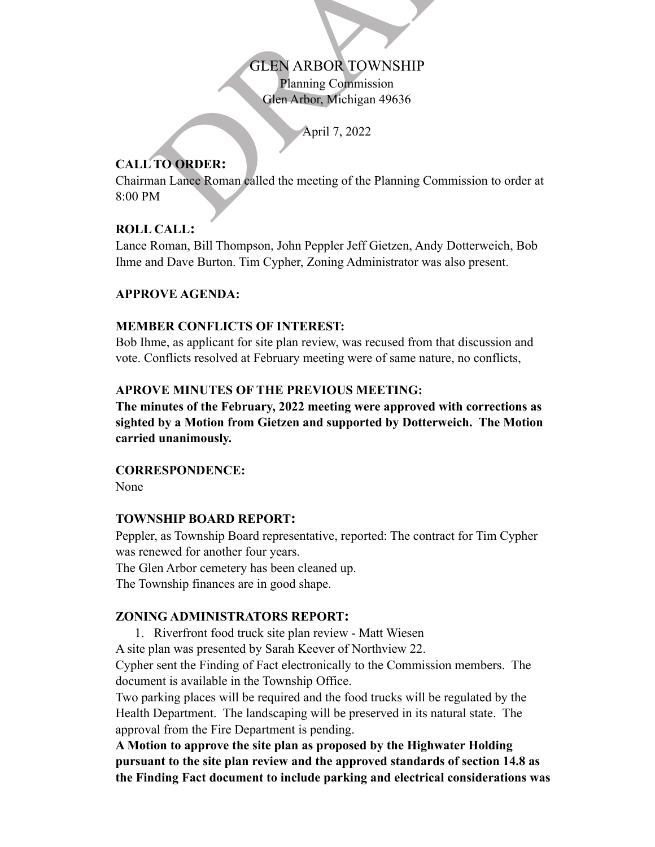Planning Commission Glen Arbor, Michigan 49636

April 7, 2022

# **CALL TO ORDER:**

GLEN ARBOR TOWNSHIP<br>Planning Commission<br>Glen Arbor, Michigan 49636<br>April 7, 2022<br>TO ORDER:<br>M<br>M Chairman Lance Roman called the meeting of the Planning Commission to order at 8:00 PM

# **ROLL CALL:**

Lance Roman, Bill Thompson, John Peppler Jeff Gietzen, Andy Dotterweich, Bob Ihme and Dave Burton. Tim Cypher, Zoning Administrator was also present.

# **APPROVE AGENDA:**

### **MEMBER CONFLICTS OF INTEREST:**

Bob Ihme, as applicant for site plan review, was recused from that discussion and vote. Conflicts resolved at February meeting were of same nature, no conflicts,

# **APROVE MINUTES OF THE PREVIOUS MEETING:**

**The minutes of the February, 2022 meeting were approved with corrections as sighted by a Motion from Gietzen and supported by Dotterweich. The Motion carried unanimously.**

### **CORRESPONDENCE:**

None

# **TOWNSHIP BOARD REPORT:**

Peppler, as Township Board representative, reported: The contract for Tim Cypher was renewed for another four years.

The Glen Arbor cemetery has been cleaned up.

The Township finances are in good shape.

# **ZONING ADMINISTRATORS REPORT :**

- 1. Riverfront food truck site plan review Matt Wiesen
- A site plan was presented by Sarah Keever of Northview 22.

Cypher sent the Finding of Fact electronically to the Commission members. The document is available in the Township Office.

Two parking places will be required and the food trucks will be regulated by the Health Department. The landscaping will be preserved in its natural state. The approval from the Fire Department is pending.

**A Motion to approve the site plan as proposed by the Highwater Holding pursuant to the site plan review and the approved standards of section 14.8 as the Finding Fact document to include parking and electrical considerations was**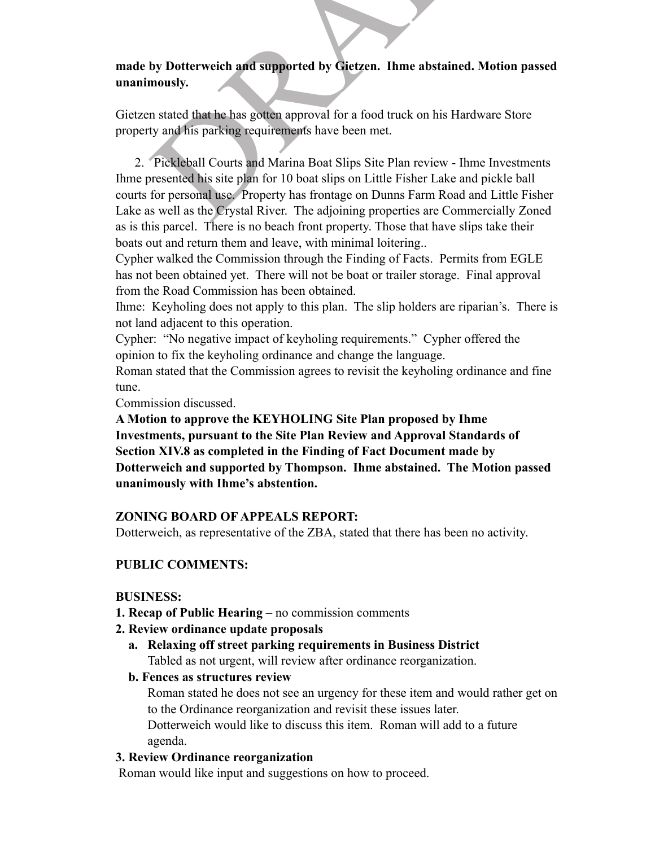# **made by Dotterweich and supported by Gietzen. Ihme abstained. Motion passed unanimously.**

Gietzen stated that he has gotten approval for a food truck on his Hardware Store property and his parking requirements have been met.

by Dotterweich and supported by Gietzen. Ihme abstained. Motion<br>mously.<br>In stated that he has gotten approval for a food truck on his Hardware Sto<br>ty and his parking requirements have been met.<br>Pickleball Courts and Marina 2. Pickleball Courts and Marina Boat Slips Site Plan review - Ihme Investments Ihme presented his site plan for 10 boat slips on Little Fisher Lake and pickle ball courts for personal use. Property has frontage on Dunns Farm Road and Little Fisher Lake as well as the Crystal River. The adjoining properties are Commercially Zoned as is this parcel. There is no beach front property. Those that have slips take their boats out and return them and leave, with minimal loitering..

Cypher walked the Commission through the Finding of Facts. Permits from EGLE has not been obtained yet. There will not be boat or trailer storage. Final approval from the Road Commission has been obtained.

Ihme: Keyholing does not apply to this plan. The slip holders are riparian's. There is not land adjacent to this operation.

Cypher: "No negative impact of keyholing requirements." Cypher offered the opinion to fix the keyholing ordinance and change the language.

Roman stated that the Commission agrees to revisit the keyholing ordinance and fine tune.

Commission discussed.

**A Motion to approve the KEYHOLING Site Plan proposed by Ihme Investments, pursuant to the Site Plan Review and Approval Standards of Section XIV.8 as completed in the Finding of Fact Document made by Dotterweich and supported by Thompson. Ihme abstained. The Motion passed unanimously with Ihme's abstention.**

### **ZONING BOARD OF APPEALS REPORT:**

Dotterweich, as representative of the ZBA, stated that there has been no activity.

# **PUBLIC COMMENTS:**

### **BUSINESS:**

- **1. Recap of Public Hearing**  no commission comments
- **2. Review ordinance update proposals**
	- **a. Relaxing off street parking requirements in Business District** Tabled as not urgent, will review after ordinance reorganization.

### **b. Fences as structures review**

Roman stated he does not see an urgency for these item and would rather get on to the Ordinance reorganization and revisit these issues later.

Dotterweich would like to discuss this item. Roman will add to a future agenda.

### **3. Review Ordinance reorganization**

Roman would like input and suggestions on how to proceed.